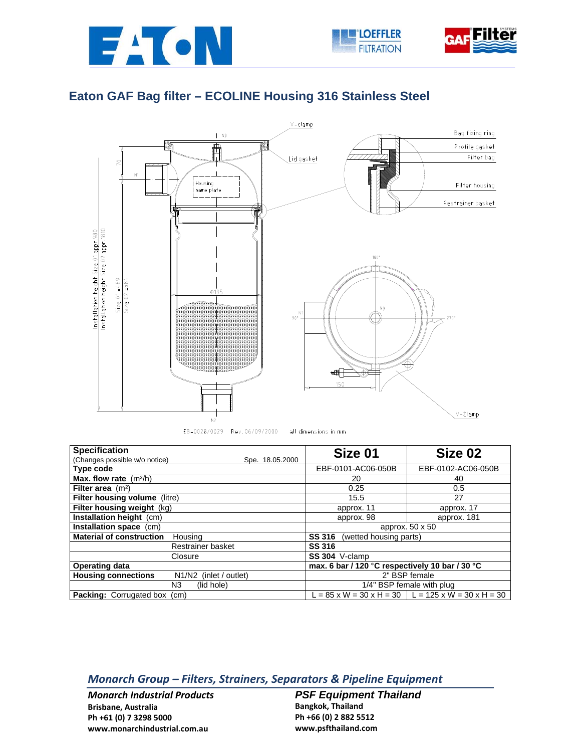





## **Eaton GAF Bag filter – ECOLINE Housing 316 Stainless Steel**



| <b>Specification</b>                                    | Size 01                                         | Size 02                                                                        |
|---------------------------------------------------------|-------------------------------------------------|--------------------------------------------------------------------------------|
| (Changes possible w/o notice)<br>Spe. 18.05.2000        |                                                 |                                                                                |
| Type code                                               | EBF-0101-AC06-050B                              | EBF-0102-AC06-050B                                                             |
| <b>Max. flow rate</b> $(m^3/h)$                         | 20                                              | 40                                                                             |
| Filter area $(m2)$                                      | 0.25                                            | 0.5                                                                            |
| <b>Filter housing volume (litre)</b>                    | 15.5                                            | 27                                                                             |
| Filter housing weight (kg)                              | approx. 11                                      | approx. 17                                                                     |
| Installation height (cm)                                | approx. 98                                      | approx. 181                                                                    |
| Installation space (cm)                                 | approx. 50 x 50                                 |                                                                                |
| <b>Material of construction</b><br>Housing              | <b>SS 316</b><br>(wetted housing parts)         |                                                                                |
| Restrainer basket                                       | <b>SS 316</b>                                   |                                                                                |
| Closure                                                 | SS 304 V-clamp                                  |                                                                                |
| <b>Operating data</b>                                   | max. 6 bar / 120 °C respectively 10 bar / 30 °C |                                                                                |
| <b>Housing connections</b><br>N1/N2<br>(inlet / outlet) | 2" BSP female                                   |                                                                                |
| N3<br>(lid hole)                                        | 1/4" BSP female with plug                       |                                                                                |
| <b>Packing:</b> Corrugated box (cm)                     |                                                 | $L = 85 \times W = 30 \times H = 30 \cdot L = 125 \times W = 30 \times H = 30$ |

## *Monarch Group – Filters, Strainers, Separators & Pipeline Equipment*

*Monarch Industrial Products* **Brisbane, Australia Ph +61 (0) 7 3298 5000 www.monarchindustrial.com.au**

**PSF Equipment Thailand Bangkok, Thailand Ph +66 (0) 2 882 5512 www.psfthailand.com**